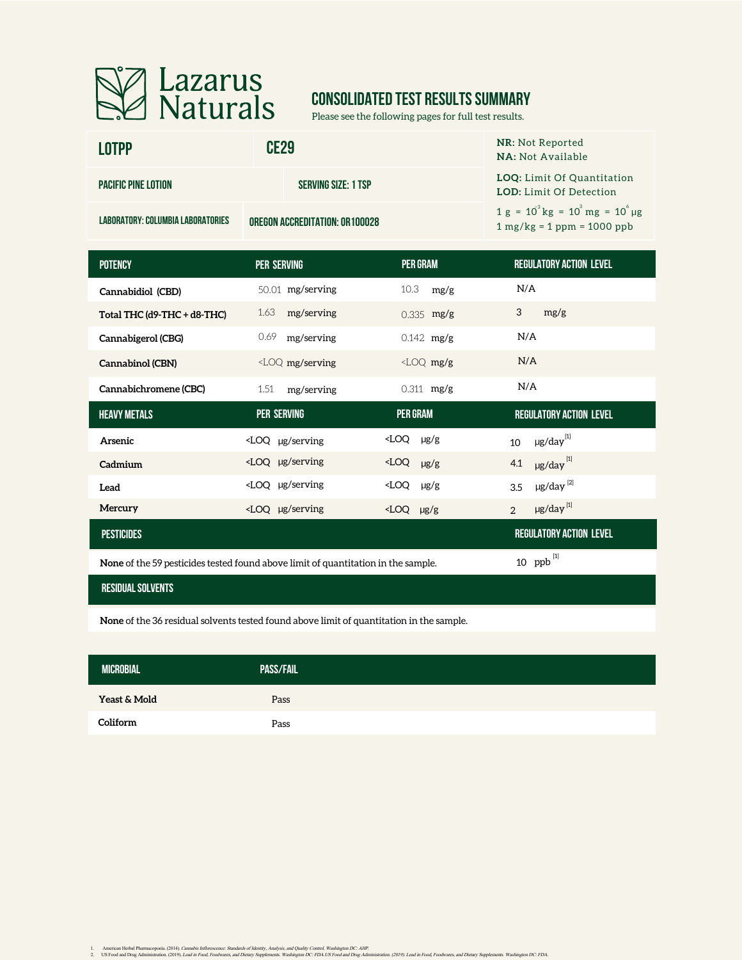

# **CONSOLIDATED TEST RESULTS SUMMARY**

Please see the following pages for full test results.

| <b>LOTPP</b>                      | CE <sub>29</sub>               | <b>NR:</b> Not Reported<br>NA: Not Available                                 |  |  |  |
|-----------------------------------|--------------------------------|------------------------------------------------------------------------------|--|--|--|
| <b>PACIFIC PINE LOTION</b>        | <b>SERVING SIZE: 1 TSP</b>     | <b>LOQ:</b> Limit Of Quantitation<br><b>LOD:</b> Limit Of Detection          |  |  |  |
| LABORATORY: COLUMBIA LABORATORIES | OREGON ACCREDITATION: 0R100028 | $1 g = 10^{3} kg = 10^{3} mg = 10^{6} \mu g$<br>$1 mg/kg = 1 ppm = 1000 ppb$ |  |  |  |
|                                   |                                |                                                                              |  |  |  |

| <b>POTENCY</b>              | <b>PER SERVING</b>                                                                                                                                                    | <b>PER GRAM</b>        | <b>REGULATORY ACTION LEVEL</b>         |
|-----------------------------|-----------------------------------------------------------------------------------------------------------------------------------------------------------------------|------------------------|----------------------------------------|
| Cannabidiol (CBD)           | 50.01 mg/serving                                                                                                                                                      | 10.3<br>mg/g           | N/A                                    |
| Total THC (d9-THC + d8-THC) | 1.63<br>mg/serving                                                                                                                                                    | $0.335$ mg/g           | 3<br>mg/g                              |
| Cannabigerol (CBG)          | 0.69<br>mg/serving                                                                                                                                                    | $0.142$ mg/g           | N/A                                    |
| Cannabinol (CBN)            | <loq mg="" serving<="" td=""><td><math>\angle</math>LOQ mg/g</td><td>N/A</td></loq>                                                                                   | $\angle$ LOQ mg/g      | N/A                                    |
| Cannabichromene (CBC)       | 1.51<br>mg/serving                                                                                                                                                    | $0.311$ mg/g           | N/A                                    |
| <b>HEAVY METALS</b>         | <b>PER SERVING</b>                                                                                                                                                    | <b>PER GRAM</b>        | <b>REGULATORY ACTION LEVEL</b>         |
| Arsenic                     | $\angle$ LOQ µg/serving                                                                                                                                               | $\angle$ LOQ $\mu$ g/g | $\mu$ g/day $^{[1]}$<br>10             |
| Cadmium                     | <loq serving<="" td="" µg=""><td><math>\angle</math>LOQ <math>\mu</math>g/g</td><td><math>\mu</math>g/day<math>^{[1]}</math><br/>4.1</td></loq>                       | $\angle$ LOQ $\mu$ g/g | $\mu$ g/day $^{[1]}$<br>4.1            |
| Lead                        | <loq serving<="" td="" µg=""><td><math>\angle</math>LOQ <math>\mu</math>g/g</td><td><math>\mu</math>g/day<math>^{[2]}</math><br/>3.5</td></loq>                       | $\angle$ LOQ $\mu$ g/g | $\mu$ g/day $^{[2]}$<br>3.5            |
| Mercury                     | <loq serving<="" td="" µg=""><td><math>\angle</math>LOQ <math>\mu</math>g/g</td><td><math>\mu</math>g/day<math>^{[1]}</math><br/><math>\overline{2}</math></td></loq> | $\angle$ LOQ $\mu$ g/g | $\mu$ g/day $^{[1]}$<br>$\overline{2}$ |
| <b>PESTICIDES</b>           |                                                                                                                                                                       |                        | <b>REGULATORY ACTION LEVEL</b>         |

**None** of the 59 pesticides tested found above limit of quantitation in the sample.

#### **residual solvents**

**None** of the 36 residual solvents tested found above limit of quantitation in the sample.

| <b>MICROBIAL</b> | <b>PASS/FAIL</b> |  |
|------------------|------------------|--|
| Yeast & Mold     | Pass             |  |
| Coliform         | Pass             |  |

ppb [1]

1. American Herbal Pharmacopoeia. (2014). Cananki Inflorescaree: Standards of Identity. Analysia, and yeality. Contol. Washington DC: AHP.<br>2. US Food and Drug Administration, (2019). Lead in Food, Food, Face, Washington DC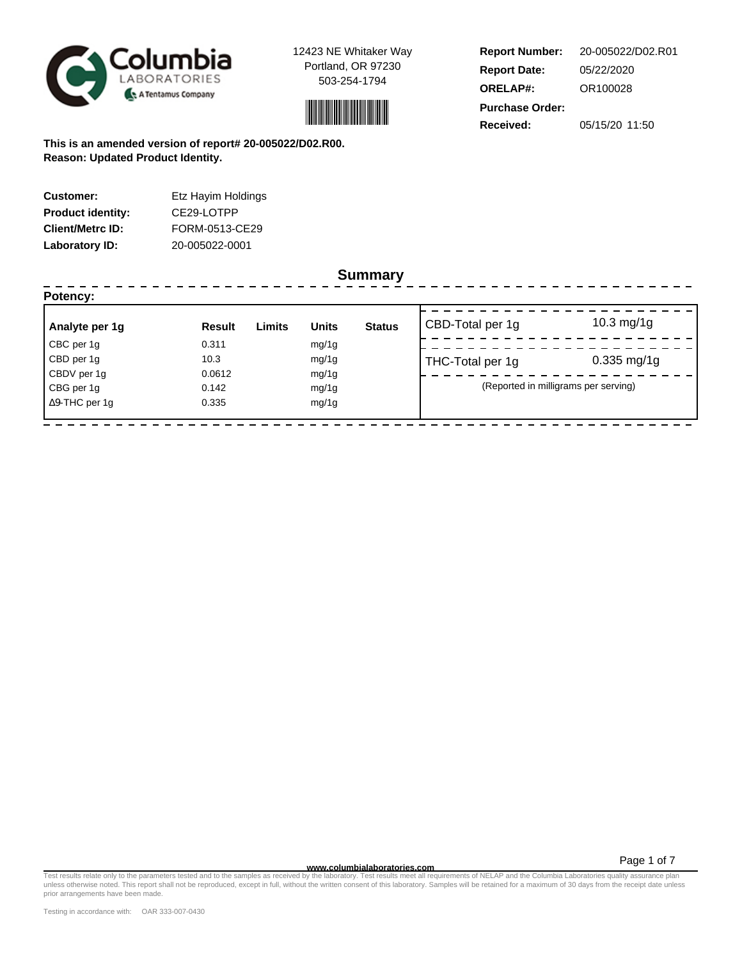



**Report Number: Report Date: ORELAP#:** 05/22/2020 OR100028 **Received:** 05/15/20 11:50 **Purchase Order:** 20-005022/D02.R01

**This is an amended version of report# 20-005022/D02.R00. Reason: Updated Product Identity.**

| <b>Customer:</b>         | Etz Hayim Holdings |
|--------------------------|--------------------|
| <b>Product identity:</b> | CE29-LOTPP         |
| <b>Client/Metrc ID:</b>  | FORM-0513-CE29     |
| Laboratory ID:           | 20-005022-0001     |

#### **Summary**

| Potency:              |               |        |              |               |                  |                                      |
|-----------------------|---------------|--------|--------------|---------------|------------------|--------------------------------------|
| Analyte per 1g        | <b>Result</b> | Limits | <b>Units</b> | <b>Status</b> | CBD-Total per 1g | $10.3 \,\mathrm{mg}/1g$              |
| CBC per 1g            | 0.311         |        | mg/1g        |               |                  |                                      |
| CBD per 1g            | 10.3          |        | mg/1g        |               | THC-Total per 1g | $0.335$ mg/1g                        |
| CBDV per 1g           | 0.0612        |        | mg/1g        |               |                  |                                      |
| CBG per 1g            | 0.142         |        | mg/1g        |               |                  | (Reported in milligrams per serving) |
| $\Delta$ 9-THC per 1q | 0.335         |        | mg/1g        |               |                  |                                      |

Page 1 of 7

Test results relate only to the parameters tested and to the samples as receive**d www.columbialaboratories.com**<br>In the understanding mention of DELAP and the Columbia Laboratory of the Mitter consent of this laboratory. Sa prior arrangements have been made.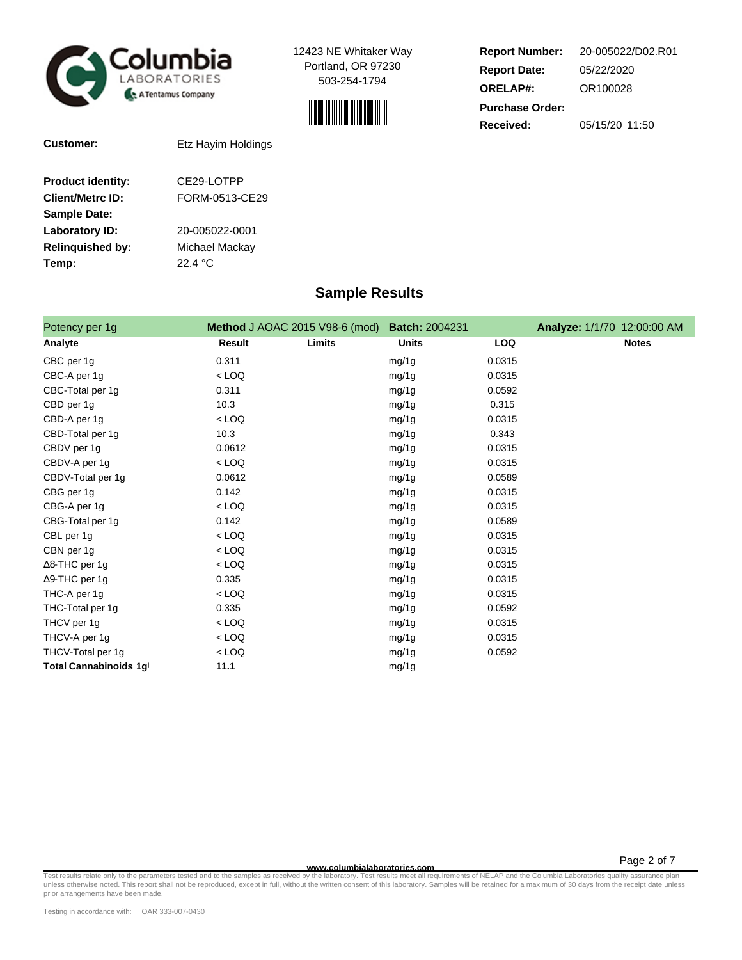



**Report Number: Report Date: ORELAP#:** 05/22/2020 OR100028 **Received:** 05/15/20 11:50 **Purchase Order:** 20-005022/D02.R01

**Customer:** Etz Hayim Holdings

| <b>Product identity:</b> | CE29-LOTPP     |
|--------------------------|----------------|
| <b>Client/Metrc ID:</b>  | FORM-0513-CE29 |
| <b>Sample Date:</b>      |                |
| Laboratory ID:           | 20-005022-0001 |
| <b>Relinquished by:</b>  | Michael Mackay |
| Temp:                    | 22.4 °C        |
|                          |                |

## **Sample Results**

| Potency per 1g                     | Method J AOAC 2015 V98-6 (mod) Batch: 2004231 |        |              |            | Analyze: 1/1/70 12:00:00 AM |
|------------------------------------|-----------------------------------------------|--------|--------------|------------|-----------------------------|
| Analyte                            | Result                                        | Limits | <b>Units</b> | <b>LOQ</b> | <b>Notes</b>                |
| CBC per 1g                         | 0.311                                         |        | mg/1g        | 0.0315     |                             |
| CBC-A per 1g                       | $<$ LOQ                                       |        | mg/1g        | 0.0315     |                             |
| CBC-Total per 1g                   | 0.311                                         |        | mg/1g        | 0.0592     |                             |
| CBD per 1q                         | 10.3                                          |        | mg/1g        | 0.315      |                             |
| CBD-A per 1g                       | $<$ LOQ                                       |        | mg/1g        | 0.0315     |                             |
| CBD-Total per 1g                   | 10.3                                          |        | mg/1g        | 0.343      |                             |
| CBDV per 1g                        | 0.0612                                        |        | mg/1g        | 0.0315     |                             |
| CBDV-A per 1g                      | $<$ LOQ                                       |        | mg/1g        | 0.0315     |                             |
| CBDV-Total per 1g                  | 0.0612                                        |        | mg/1g        | 0.0589     |                             |
| CBG per 1g                         | 0.142                                         |        | mg/1g        | 0.0315     |                             |
| CBG-A per 1g                       | $<$ LOQ                                       |        | mg/1g        | 0.0315     |                             |
| CBG-Total per 1g                   | 0.142                                         |        | mg/1g        | 0.0589     |                             |
| CBL per 1g                         | $<$ LOQ                                       |        | mg/1g        | 0.0315     |                             |
| CBN per 1g                         | $<$ LOQ                                       |        | mg/1g        | 0.0315     |                             |
| $\Delta$ 8-THC per 1g              | $<$ LOQ                                       |        | mg/1g        | 0.0315     |                             |
| $\Delta$ 9-THC per 1g              | 0.335                                         |        | mg/1g        | 0.0315     |                             |
| THC-A per 1g                       | $<$ LOQ                                       |        | mg/1g        | 0.0315     |                             |
| THC-Total per 1g                   | 0.335                                         |        | mg/1g        | 0.0592     |                             |
| THCV per 1g                        | $<$ LOQ                                       |        | mg/1g        | 0.0315     |                             |
| THCV-A per 1g                      | $<$ LOQ                                       |        | mg/1g        | 0.0315     |                             |
| THCV-Total per 1g                  | $<$ LOQ                                       |        | mg/1g        | 0.0592     |                             |
| Total Cannabinoids 1g <sup>t</sup> | 11.1                                          |        | mg/1g        |            |                             |

Page 2 of 7

Test results relate only to the parameters tested and to the samples as receive**d www.columbialaboratories.com**<br>The languar mequirements of NELAP and the Columbia Laboratory of the samples of NELAP and the Columbia Laborat prior arrangements have been made.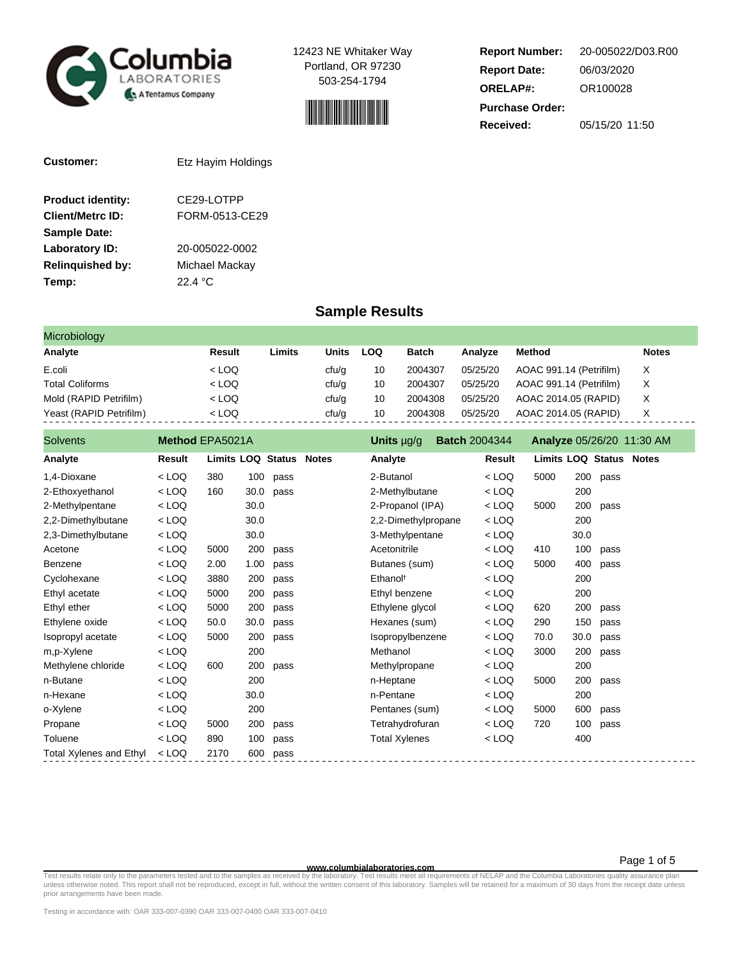



**Report Number: Report Date: ORELAP#:** 06/03/2020 OR100028 **Received:** 05/15/20 11:50 **Purchase Order:** 20-005022/D03.R00

| <b>Customer:</b>         | Etz Hayim Holdings |
|--------------------------|--------------------|
| <b>Product identity:</b> | CE29-LOTPP         |
| <b>Client/Metrc ID:</b>  | FORM-0513-CE29     |
| <b>Sample Date:</b>      |                    |
| Laboratory ID:           | 20-005022-0002     |
| <b>Relinguished by:</b>  | Michael Mackay     |
| Temp:                    | 22.4 °C            |

### **Sample Results**

| Microbiology            |         |        |       |     |         |          |                         |              |
|-------------------------|---------|--------|-------|-----|---------|----------|-------------------------|--------------|
| Analyte                 | Result  | ∟imits | Units | LOQ | Batch   | Analyze  | Method                  | <b>Notes</b> |
| E.coli                  | $<$ LOQ |        | cfu/g | 10  | 2004307 | 05/25/20 | AOAC 991.14 (Petrifilm) | X.           |
| <b>Total Coliforms</b>  | $<$ LOQ |        | cfu/g | 10  | 2004307 | 05/25/20 | AOAC 991.14 (Petrifilm) | X            |
| Mold (RAPID Petrifilm)  | $<$ LOQ |        | ctu/g | 10  | 2004308 | 05/25/20 | AOAC 2014.05 (RAPID)    | х            |
| Yeast (RAPID Petrifilm) | $<$ LOQ |        | cfu/g | 10  | 2004308 | 05/25/20 | AOAC 2014.05 (RAPID)    | х            |

| <b>Solvents</b>                | Method EPA5021A |                          |      |      |              | <b>Batch 2004344</b><br>Units $\mu$ g/g |  |         | <b>Analyze 05/26/20 11:30 AM</b> |      |      |  |
|--------------------------------|-----------------|--------------------------|------|------|--------------|-----------------------------------------|--|---------|----------------------------------|------|------|--|
| Analyte                        | Result          | <b>Limits LOQ Status</b> |      |      | <b>Notes</b> | Analyte                                 |  | Result  | <b>Limits LOQ Status Notes</b>   |      |      |  |
| 1.4-Dioxane                    | $<$ LOQ         | 380                      | 100  | pass |              | 2-Butanol                               |  | < LOQ   | 5000                             | 200  | pass |  |
| 2-Ethoxyethanol                | $<$ LOQ         | 160                      | 30.0 | pass |              | 2-Methylbutane                          |  | $<$ LOQ |                                  | 200  |      |  |
| 2-Methylpentane                | $<$ LOQ         |                          | 30.0 |      |              | 2-Propanol (IPA)                        |  | $<$ LOQ | 5000                             | 200  | pass |  |
| 2,2-Dimethylbutane             | $<$ LOQ         |                          | 30.0 |      |              | 2,2-Dimethylpropane                     |  | $<$ LOQ |                                  | 200  |      |  |
| 2,3-Dimethylbutane             | $<$ LOQ         |                          | 30.0 |      |              | 3-Methylpentane                         |  | $<$ LOQ |                                  | 30.0 |      |  |
| Acetone                        | $<$ LOQ         | 5000                     | 200  | pass |              | Acetonitrile                            |  | $<$ LOQ | 410                              | 100  | pass |  |
| Benzene                        | $<$ LOQ         | 2.00                     | 1.00 | pass |              | Butanes (sum)                           |  | $<$ LOQ | 5000                             | 400  | pass |  |
| Cyclohexane                    | $<$ LOQ         | 3880                     | 200  | pass |              | Ethanol <sup>t</sup>                    |  | $<$ LOQ |                                  | 200  |      |  |
| Ethyl acetate                  | $<$ LOQ         | 5000                     | 200  | pass |              | Ethyl benzene                           |  | < LOQ   |                                  | 200  |      |  |
| Ethyl ether                    | $<$ LOQ         | 5000                     | 200  | pass |              | Ethylene glycol                         |  | < LOQ   | 620                              | 200  | pass |  |
| Ethylene oxide                 | $<$ LOQ         | 50.0                     | 30.0 | pass |              | Hexanes (sum)                           |  | $<$ LOQ | 290                              | 150  | pass |  |
| Isopropyl acetate              | $<$ LOQ         | 5000                     | 200  | pass |              | Isopropylbenzene                        |  | < LOQ   | 70.0                             | 30.0 | pass |  |
| m,p-Xylene                     | $<$ LOQ         |                          | 200  |      |              | Methanol                                |  | < LOQ   | 3000                             | 200  | pass |  |
| Methylene chloride             | $<$ LOQ         | 600                      | 200  | pass |              | Methylpropane                           |  | $<$ LOQ |                                  | 200  |      |  |
| n-Butane                       | $<$ LOQ         |                          | 200  |      |              | n-Heptane                               |  | $<$ LOQ | 5000                             | 200  | pass |  |
| n-Hexane                       | $<$ LOQ         |                          | 30.0 |      |              | n-Pentane                               |  | $<$ LOQ |                                  | 200  |      |  |
| o-Xylene                       | $<$ LOQ         |                          | 200  |      |              | Pentanes (sum)                          |  | < LOQ   | 5000                             | 600  | pass |  |
| Propane                        | $<$ LOQ         | 5000                     | 200  | pass |              | Tetrahydrofuran                         |  | $<$ LOQ | 720                              | 100  | pass |  |
| Toluene                        | $<$ LOQ         | 890                      | 100  | pass |              | <b>Total Xylenes</b>                    |  | $<$ LOQ |                                  | 400  |      |  |
| <b>Total Xylenes and Ethyl</b> | $<$ LOQ         | 2170                     | 600  | pass |              |                                         |  |         |                                  |      |      |  |

Test results relate only to the parameters tested and to the samples as receive**d www.columbialaboratories.com**<br>The languar mequirements of NELAP and the Columbia Laboratory of the samples of NELAP and the Columbia Laborat prior arrangements have been made.